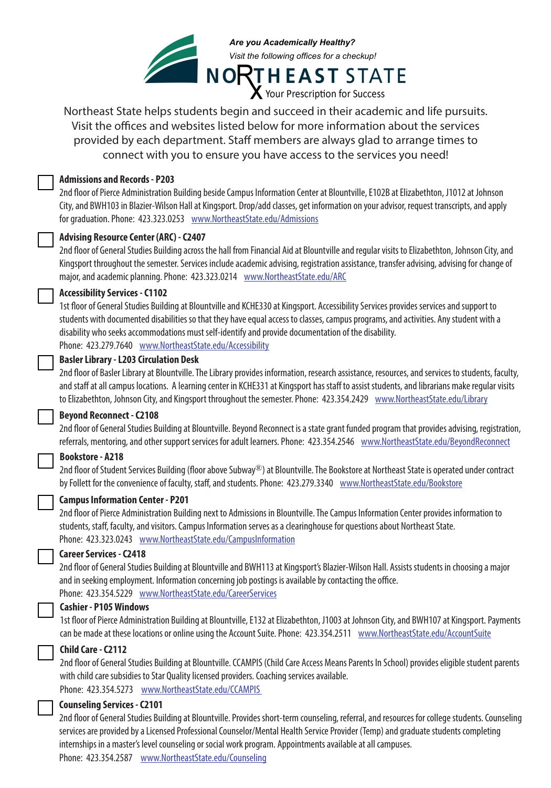

Northeast State helps students begin and succeed in their academic and life pursuits. Visit the offices and websites listed below for more information about the services  $\mathbf{F}$ 1003 at Johnson City, and BWH103 in BWH103 in Blazier-Wilson Hall at Kingsport. Drop/add classes, get provided by each department. Staff members are always glad to arrange times to connect with you to ensure you have access to the services you need!

### 2nd floor of General Studies Building across the hall from Financial Aid at Blountville and regular visits to **Admissions and Records - P203**

2nd floor of Pierce Administration Building beside Campus Information Center at Blountville, E102B at Elizabethton, J1012 at Johnson registration assistance, transfer advising, advising for change of major, and academic planning. City, and BWH103 in Blazier-Wilson Hall at Kingsport. Drop/add classes, get information on your advisor, request transcripts, and apply for graduation. Phone: 423.323.0253 www.NortheastState.edu/Admissions

## 2nd floor of Student Services Building (floor above SUBWAY®) at Blountville. The Bookstore at Northeast State **Advising Resource Center (ARC) - C2407**

2nd floor of General Studies Building across the hall from Financial Aid at Blountville and regular visits to Elizabethton, Johnson City, and Ind noor or denem beddes banding delob the nain non-rindment ride or bedditing. The register rides of Industment, Johnson any, and<br>Kingsport throughout the semester. Services include academic advising, registration assista major, and academic planning. Phone: 423.323.0214 www.NortheastState.edu/ARC

### provides information to students, staff, faculty, and visitors. It serves as a clearinghouse for questions about **Accessibility Services - C1102**

1st floor of General Studies Building at Blountville and KCHE330 at Kingsport. Accessibility Services provides services and support to students with documented disabilities so that they have equal access to classes, campus programs, and activities. Any student with a<br>students with documented disabilities so that they have equal access to classes, campus p disability who seeks accommodations must self-identify and provide documentation of the disability. Phone: 423.279.7640 www.NortheastState.edu/Accessibility

### **Basler Library - L203 Circulation Desk**

2nd floor of Basler Library at Blountville. The Library provides information, research assistance, resources, and services to students, faculty, and staff at all campus locations. A learning center in KCHE331 at Kingsport has staff to assist students, and librarians make regular visits to Elizabethton, Johnson City, and Kingsport throughout the semester. Phone: 423.354.2429 www.NortheastState.edu/Library

# Beyond Reconnect - C2108

2nd floor of General Studies Building at Blountville. Beyond Reconnect is a state grant funded program that provides advising, registration,  $\sim$  1st floor of General Studies Building at Blountville and KCHE330 at Kingsport. Assists students who have have referrals, mentoring, and other support services for adult learners. Phone: 423.354.2546 www.NortheastState.edu/BeyondReconnect

#### impairments, where the chair users, traumatic brain injuries, obesity, and additional disorder, ADD/ADHD, bipolar disorder, ADD/ADHD, bipolar disorder, ADD/ADHD, bipolar disorder, ADD/ADHD, bipolar disorder, ADD/ADHD, bipo **Bookstore - A218**

2nd floor of Student Services Building (floor above Subway®) at Blountville. The Bookstore at Northeast State is operated under contract Phone: 423.279.7640 www.NortheastState.edu/Disabilities by Follett for the convenience of faculty, staff, and students. Phone: 423.279.3340 www.NortheastState.edu/Bookstore



# **Counseling Services - C2101 or C2112** 2nd floor of General Studies Building at Blountville. Provides short-term counseling, referral, and resources for **Campus Information Center - P201**

2nd floor of Pierce Administration Building next to Admissions in Blountville. The Campus Information Center provides information to Service Provider (Temp) and graduate students completing internships in a master's level counseling or social students, staff, faculty, and visitors. Campus Information serves as a clearinghouse for questions about Northeast State. Phone: 423.323.0243 www.NortheastState.edu/CampusInformation

### **Career Services - C2418**

2nd floor of General Studies Building at Blountville and BWH113 at Kingsport's Blazier-Wilson Hall. Assists students in choosing a major and in seeking employment. Information concerning job postings is available by contacting the office. Phone: 423.354.5229 www.NortheastState.edu/CareerServices

### **Cashier - P105 Windows**

1st floor of Pierce Administration Building at Blountville, E132 at Elizabethton, J1003 at Johnson City, and BWH107 at Kingsport. Payments can be made at these locations or online using the Account Suite. Phone: 423.354.2511 www.NortheastState.edu/AccountSuite



# **Child Care - C2112**

2nd floor of General Studies Building at Blountville. CCAMPIS (Child Care Access Means Parents In School) provides eligible student parents with child care subsidies to Star Quality licensed providers. Coaching services available. Phone: 423.354.5273 www.NortheastState.edu/CCAMPIS

### **Counseling Services - C2101**

2nd floor of General Studies Building at Blountville. Provides short-term counseling, referral, and resources for college students. Counseling services are provided by a Licensed Professional Counselor/Mental Health Service Provider (Temp) and graduate students completing internships in a master's level counseling or social work program. Appointments available at all campuses.

Phone: 423.354.2587 www.NortheastState.edu/Counseling